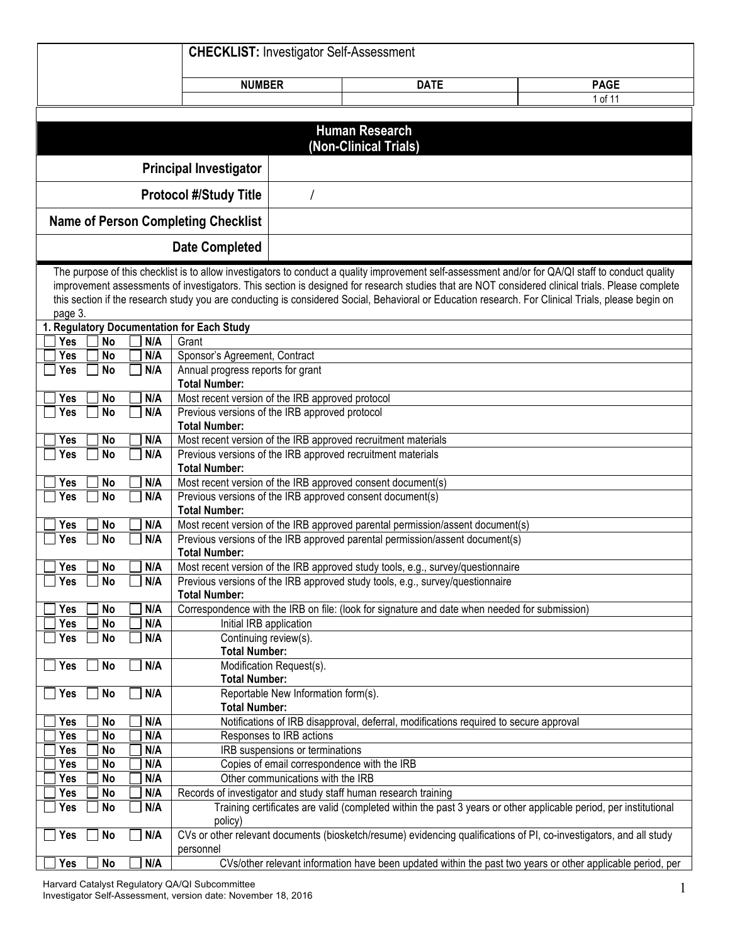|                                                           |                                                                                                                                                                                     | <b>CHECKLIST: Investigator Self-Assessment</b> |                                                                                               |                                                                                                                                                    |
|-----------------------------------------------------------|-------------------------------------------------------------------------------------------------------------------------------------------------------------------------------------|------------------------------------------------|-----------------------------------------------------------------------------------------------|----------------------------------------------------------------------------------------------------------------------------------------------------|
|                                                           | <b>NUMBER</b>                                                                                                                                                                       |                                                | <b>DATE</b>                                                                                   | <b>PAGE</b>                                                                                                                                        |
|                                                           |                                                                                                                                                                                     |                                                |                                                                                               | 1 of 11                                                                                                                                            |
|                                                           |                                                                                                                                                                                     |                                                |                                                                                               |                                                                                                                                                    |
|                                                           |                                                                                                                                                                                     |                                                | <b>Human Research</b>                                                                         |                                                                                                                                                    |
|                                                           |                                                                                                                                                                                     |                                                | (Non-Clinical Trials)                                                                         |                                                                                                                                                    |
|                                                           | <b>Principal Investigator</b>                                                                                                                                                       |                                                |                                                                                               |                                                                                                                                                    |
|                                                           | <b>Protocol #/Study Title</b>                                                                                                                                                       |                                                |                                                                                               |                                                                                                                                                    |
| <b>Name of Person Completing Checklist</b>                |                                                                                                                                                                                     |                                                |                                                                                               |                                                                                                                                                    |
|                                                           | <b>Date Completed</b>                                                                                                                                                               |                                                |                                                                                               |                                                                                                                                                    |
|                                                           |                                                                                                                                                                                     |                                                |                                                                                               | The purpose of this checklist is to allow investigators to conduct a quality improvement self-assessment and/or for QA/QI staff to conduct quality |
|                                                           |                                                                                                                                                                                     |                                                |                                                                                               | improvement assessments of investigators. This section is designed for research studies that are NOT considered clinical trials. Please complete   |
|                                                           |                                                                                                                                                                                     |                                                |                                                                                               | this section if the research study you are conducting is considered Social, Behavioral or Education research. For Clinical Trials, please begin on |
| page 3.                                                   |                                                                                                                                                                                     |                                                |                                                                                               |                                                                                                                                                    |
| 1. Regulatory Documentation for Each Study                |                                                                                                                                                                                     |                                                |                                                                                               |                                                                                                                                                    |
| <b>Yes</b><br>N/A<br>No                                   | Grant                                                                                                                                                                               |                                                |                                                                                               |                                                                                                                                                    |
| N/A<br>Yes<br>No                                          | Sponsor's Agreement, Contract                                                                                                                                                       |                                                |                                                                                               |                                                                                                                                                    |
| <b>No</b><br>N/A<br>Yes                                   | Annual progress reports for grant<br><b>Total Number:</b>                                                                                                                           |                                                |                                                                                               |                                                                                                                                                    |
| Yes<br>N/A<br>No                                          | Most recent version of the IRB approved protocol                                                                                                                                    |                                                |                                                                                               |                                                                                                                                                    |
| <b>No</b><br>Yes<br>N/A                                   | Previous versions of the IRB approved protocol                                                                                                                                      |                                                |                                                                                               |                                                                                                                                                    |
|                                                           | <b>Total Number:</b>                                                                                                                                                                |                                                |                                                                                               |                                                                                                                                                    |
| Yes<br>No<br>N/A                                          | Most recent version of the IRB approved recruitment materials                                                                                                                       |                                                |                                                                                               |                                                                                                                                                    |
| <b>No</b><br><b>Yes</b><br>N/A                            | Previous versions of the IRB approved recruitment materials                                                                                                                         |                                                |                                                                                               |                                                                                                                                                    |
|                                                           | <b>Total Number:</b><br>Most recent version of the IRB approved consent document(s)                                                                                                 |                                                |                                                                                               |                                                                                                                                                    |
| Yes<br><b>No</b><br>N/A<br><b>No</b><br><b>Yes</b><br>N/A | Previous versions of the IRB approved consent document(s)                                                                                                                           |                                                |                                                                                               |                                                                                                                                                    |
|                                                           | <b>Total Number:</b>                                                                                                                                                                |                                                |                                                                                               |                                                                                                                                                    |
| Yes<br>N/A<br>No                                          |                                                                                                                                                                                     |                                                | Most recent version of the IRB approved parental permission/assent document(s)                |                                                                                                                                                    |
| <b>No</b><br><b>Yes</b><br>N/A                            |                                                                                                                                                                                     |                                                | Previous versions of the IRB approved parental permission/assent document(s)                  |                                                                                                                                                    |
|                                                           | <b>Total Number:</b>                                                                                                                                                                |                                                |                                                                                               |                                                                                                                                                    |
| Yes<br>No<br>N/A                                          |                                                                                                                                                                                     |                                                | Most recent version of the IRB approved study tools, e.g., survey/questionnaire               |                                                                                                                                                    |
| Yes<br>No<br>N/A                                          |                                                                                                                                                                                     |                                                | Previous versions of the IRB approved study tools, e.g., survey/questionnaire                 |                                                                                                                                                    |
|                                                           | <b>Total Number:</b>                                                                                                                                                                |                                                |                                                                                               |                                                                                                                                                    |
| Yes<br>No<br>N/A                                          |                                                                                                                                                                                     |                                                | Correspondence with the IRB on file: (look for signature and date when needed for submission) |                                                                                                                                                    |
| Yes<br>No<br>N/A                                          | Initial IRB application                                                                                                                                                             |                                                |                                                                                               |                                                                                                                                                    |
| No<br>Yes<br>N/A                                          | Continuing review(s).<br><b>Total Number:</b>                                                                                                                                       |                                                |                                                                                               |                                                                                                                                                    |
| Yes<br><b>No</b><br>N/A                                   |                                                                                                                                                                                     | Modification Request(s).                       |                                                                                               |                                                                                                                                                    |
|                                                           | <b>Total Number:</b>                                                                                                                                                                |                                                |                                                                                               |                                                                                                                                                    |
| Yes<br><b>No</b><br>N/A                                   |                                                                                                                                                                                     | Reportable New Information form(s).            |                                                                                               |                                                                                                                                                    |
|                                                           | <b>Total Number:</b>                                                                                                                                                                |                                                |                                                                                               |                                                                                                                                                    |
| Yes<br>No<br>N/A                                          |                                                                                                                                                                                     |                                                | Notifications of IRB disapproval, deferral, modifications required to secure approval         |                                                                                                                                                    |
| Yes<br>No<br>N/A                                          |                                                                                                                                                                                     | Responses to IRB actions                       |                                                                                               |                                                                                                                                                    |
| No<br>N/A<br>Yes                                          |                                                                                                                                                                                     | IRB suspensions or terminations                |                                                                                               |                                                                                                                                                    |
| Yes<br>No<br>N/A                                          |                                                                                                                                                                                     | Copies of email correspondence with the IRB    |                                                                                               |                                                                                                                                                    |
| Yes                                                       | N/A<br>Other communications with the IRB<br>No                                                                                                                                      |                                                |                                                                                               |                                                                                                                                                    |
| N/A<br>Yes<br>No                                          | Records of investigator and study staff human research training<br>Training certificates are valid (completed within the past 3 years or other applicable period, per institutional |                                                |                                                                                               |                                                                                                                                                    |
| N/A<br>Yes<br>No                                          | policy)                                                                                                                                                                             |                                                |                                                                                               |                                                                                                                                                    |
| N/A<br>Yes<br>No                                          |                                                                                                                                                                                     |                                                |                                                                                               | CVs or other relevant documents (biosketch/resume) evidencing qualifications of PI, co-investigators, and all study                                |
|                                                           | personnel                                                                                                                                                                           |                                                |                                                                                               |                                                                                                                                                    |
| Yes<br><b>No</b><br>N/A                                   |                                                                                                                                                                                     |                                                |                                                                                               | CVs/other relevant information have been updated within the past two years or other applicable period, per                                         |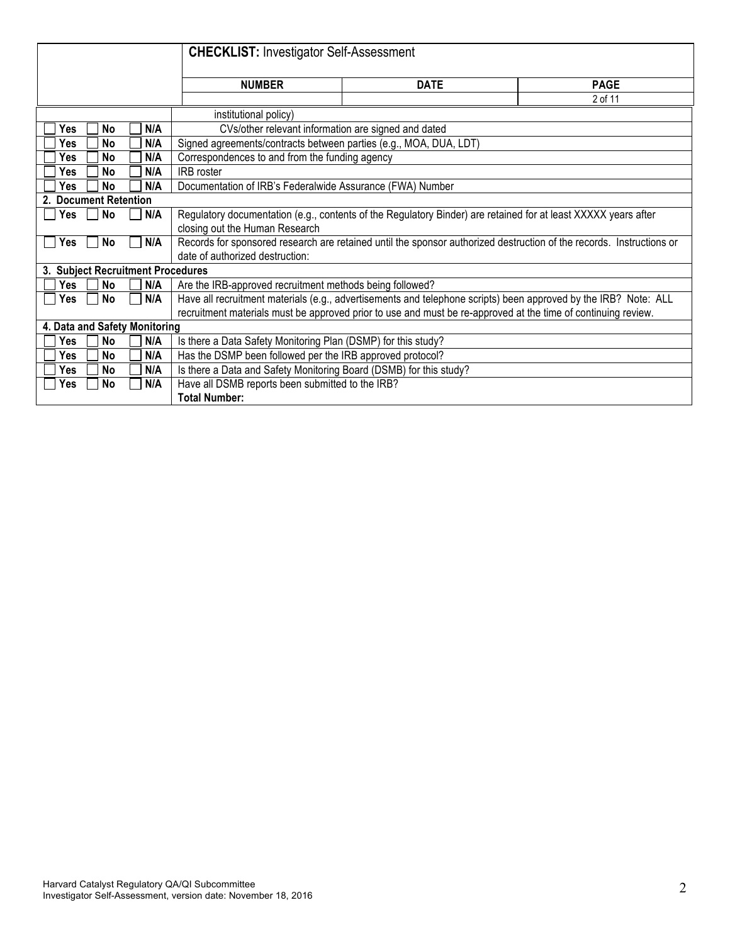|                                   | <b>CHECKLIST: Investigator Self-Assessment</b>                     |                                                                                                                 |                                                                                                                      |  |  |
|-----------------------------------|--------------------------------------------------------------------|-----------------------------------------------------------------------------------------------------------------|----------------------------------------------------------------------------------------------------------------------|--|--|
|                                   |                                                                    |                                                                                                                 |                                                                                                                      |  |  |
|                                   | <b>NUMBER</b>                                                      | <b>DATE</b>                                                                                                     | <b>PAGE</b>                                                                                                          |  |  |
|                                   |                                                                    |                                                                                                                 | 2 of 11                                                                                                              |  |  |
|                                   | institutional policy)                                              |                                                                                                                 |                                                                                                                      |  |  |
| N/A<br>Yes<br>No                  | CVs/other relevant information are signed and dated                |                                                                                                                 |                                                                                                                      |  |  |
| N/A<br>Yes<br>No                  | Signed agreements/contracts between parties (e.g., MOA, DUA, LDT)  |                                                                                                                 |                                                                                                                      |  |  |
| N/A<br>Yes<br>No                  | Correspondences to and from the funding agency                     |                                                                                                                 |                                                                                                                      |  |  |
| N/A<br>Yes<br>No                  | <b>IRB</b> roster                                                  |                                                                                                                 |                                                                                                                      |  |  |
| N/A<br>Yes<br>No                  | Documentation of IRB's Federalwide Assurance (FWA) Number          |                                                                                                                 |                                                                                                                      |  |  |
| 2. Document Retention             |                                                                    |                                                                                                                 |                                                                                                                      |  |  |
| Yes<br>No<br>N/A                  |                                                                    | Regulatory documentation (e.g., contents of the Regulatory Binder) are retained for at least XXXXX years after  |                                                                                                                      |  |  |
|                                   | closing out the Human Research                                     |                                                                                                                 |                                                                                                                      |  |  |
| N/A<br>Yes<br>No                  |                                                                    |                                                                                                                 | Records for sponsored research are retained until the sponsor authorized destruction of the records. Instructions or |  |  |
|                                   | date of authorized destruction:                                    |                                                                                                                 |                                                                                                                      |  |  |
| 3. Subject Recruitment Procedures |                                                                    |                                                                                                                 |                                                                                                                      |  |  |
| <b>Yes</b><br>No<br>N/A           | Are the IRB-approved recruitment methods being followed?           |                                                                                                                 |                                                                                                                      |  |  |
| N/A<br>Yes<br>No                  |                                                                    | Have all recruitment materials (e.g., advertisements and telephone scripts) been approved by the IRB? Note: ALL |                                                                                                                      |  |  |
|                                   |                                                                    | recruitment materials must be approved prior to use and must be re-approved at the time of continuing review.   |                                                                                                                      |  |  |
| 4. Data and Safety Monitoring     |                                                                    |                                                                                                                 |                                                                                                                      |  |  |
| Yes<br>No<br>N/A                  | Is there a Data Safety Monitoring Plan (DSMP) for this study?      |                                                                                                                 |                                                                                                                      |  |  |
| N/A<br>Yes<br>No                  | Has the DSMP been followed per the IRB approved protocol?          |                                                                                                                 |                                                                                                                      |  |  |
| Yes<br>N/A<br>No                  | Is there a Data and Safety Monitoring Board (DSMB) for this study? |                                                                                                                 |                                                                                                                      |  |  |
| No<br>N/A<br>Yes                  | Have all DSMB reports been submitted to the IRB?                   |                                                                                                                 |                                                                                                                      |  |  |
|                                   | <b>Total Number:</b>                                               |                                                                                                                 |                                                                                                                      |  |  |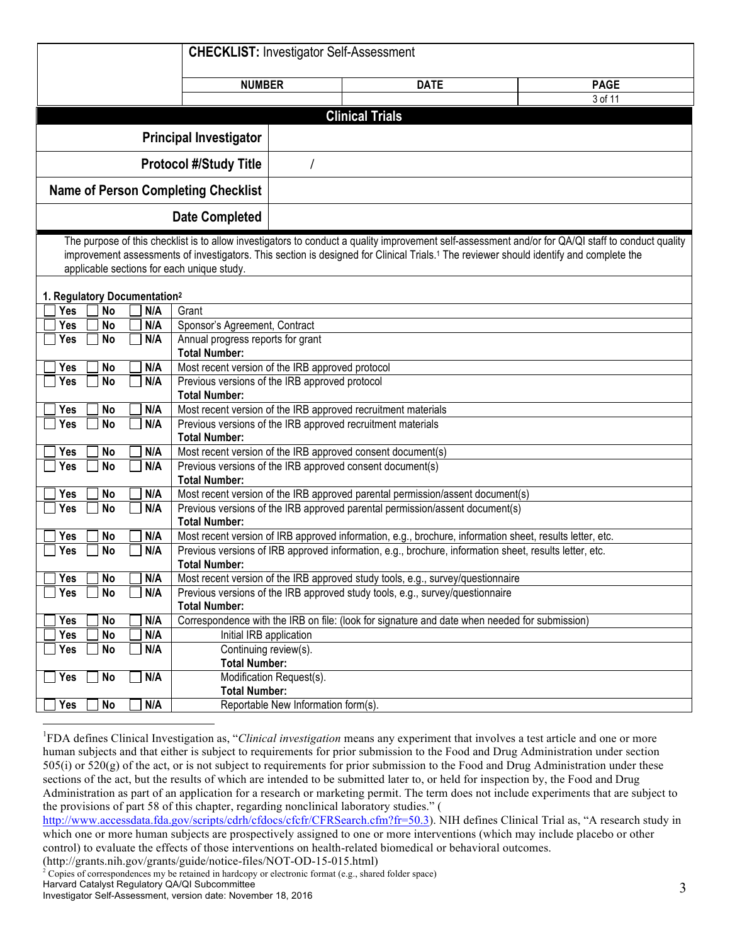|                                            | <b>CHECKLIST: Investigator Self-Assessment</b>                                        |                                     |                                                                                                                                                    |  |             |
|--------------------------------------------|---------------------------------------------------------------------------------------|-------------------------------------|----------------------------------------------------------------------------------------------------------------------------------------------------|--|-------------|
|                                            | <b>NUMBER</b>                                                                         |                                     | <b>DATE</b>                                                                                                                                        |  | <b>PAGE</b> |
|                                            |                                                                                       |                                     |                                                                                                                                                    |  | 3 of 11     |
|                                            |                                                                                       |                                     |                                                                                                                                                    |  |             |
|                                            |                                                                                       |                                     | <b>Clinical Trials</b>                                                                                                                             |  |             |
|                                            | <b>Principal Investigator</b>                                                         |                                     |                                                                                                                                                    |  |             |
|                                            | <b>Protocol #/Study Title</b>                                                         |                                     |                                                                                                                                                    |  |             |
| <b>Name of Person Completing Checklist</b> |                                                                                       |                                     |                                                                                                                                                    |  |             |
|                                            | <b>Date Completed</b>                                                                 |                                     |                                                                                                                                                    |  |             |
|                                            |                                                                                       |                                     | The purpose of this checklist is to allow investigators to conduct a quality improvement self-assessment and/or for QA/QI staff to conduct quality |  |             |
|                                            |                                                                                       |                                     | improvement assessments of investigators. This section is designed for Clinical Trials. <sup>1</sup> The reviewer should identify and complete the |  |             |
| applicable sections for each unique study. |                                                                                       |                                     |                                                                                                                                                    |  |             |
|                                            |                                                                                       |                                     |                                                                                                                                                    |  |             |
| 1. Regulatory Documentation <sup>2</sup>   |                                                                                       |                                     |                                                                                                                                                    |  |             |
| <b>Yes</b><br>N/A<br>No                    | Grant                                                                                 |                                     |                                                                                                                                                    |  |             |
| <b>Yes</b><br>N/A<br>No                    | Sponsor's Agreement, Contract                                                         |                                     |                                                                                                                                                    |  |             |
| <b>Yes</b><br><b>No</b><br>N/A             | Annual progress reports for grant                                                     |                                     |                                                                                                                                                    |  |             |
|                                            | <b>Total Number:</b>                                                                  |                                     |                                                                                                                                                    |  |             |
| <b>Yes</b><br>N/A<br>No                    | Most recent version of the IRB approved protocol                                      |                                     |                                                                                                                                                    |  |             |
| <b>No</b><br>N/A<br><b>Yes</b>             | Previous versions of the IRB approved protocol                                        |                                     |                                                                                                                                                    |  |             |
| <b>Yes</b><br>N/A<br>No                    | <b>Total Number:</b><br>Most recent version of the IRB approved recruitment materials |                                     |                                                                                                                                                    |  |             |
| N/A<br><b>Yes</b><br><b>No</b>             | Previous versions of the IRB approved recruitment materials                           |                                     |                                                                                                                                                    |  |             |
|                                            | <b>Total Number:</b>                                                                  |                                     |                                                                                                                                                    |  |             |
| <b>Yes</b><br>N/A<br>No                    |                                                                                       |                                     | Most recent version of the IRB approved consent document(s)                                                                                        |  |             |
| <b>No</b><br><b>Yes</b><br>N/A             | Previous versions of the IRB approved consent document(s)                             |                                     |                                                                                                                                                    |  |             |
|                                            | <b>Total Number:</b>                                                                  |                                     |                                                                                                                                                    |  |             |
| Yes<br>No<br>N/A                           |                                                                                       |                                     | Most recent version of the IRB approved parental permission/assent document(s)                                                                     |  |             |
| <b>Yes</b><br>No<br>N/A                    |                                                                                       |                                     | Previous versions of the IRB approved parental permission/assent document(s)                                                                       |  |             |
|                                            | <b>Total Number:</b>                                                                  |                                     |                                                                                                                                                    |  |             |
| <b>Yes</b><br>N/A<br>No                    |                                                                                       |                                     | Most recent version of IRB approved information, e.g., brochure, information sheet, results letter, etc.                                           |  |             |
| <b>Yes</b><br><b>No</b><br>N/A             |                                                                                       |                                     | Previous versions of IRB approved information, e.g., brochure, information sheet, results letter, etc.                                             |  |             |
|                                            | <b>Total Number:</b>                                                                  |                                     |                                                                                                                                                    |  |             |
| Yes<br>No<br>N/A                           |                                                                                       |                                     | Most recent version of the IRB approved study tools, e.g., survey/questionnaire                                                                    |  |             |
| <b>No</b><br>N/A<br>Yes                    | <b>Total Number:</b>                                                                  |                                     | Previous versions of the IRB approved study tools, e.g., survey/questionnaire                                                                      |  |             |
| <b>No</b><br>N/A<br>Yes                    |                                                                                       |                                     | Correspondence with the IRB on file: (look for signature and date when needed for submission)                                                      |  |             |
| Yes<br>No<br>N/A                           | Initial IRB application                                                               |                                     |                                                                                                                                                    |  |             |
| No<br>N/A<br>Yes                           | Continuing review(s).                                                                 |                                     |                                                                                                                                                    |  |             |
|                                            | <b>Total Number:</b>                                                                  |                                     |                                                                                                                                                    |  |             |
| N/A<br>No<br>Yes                           |                                                                                       | Modification Request(s).            |                                                                                                                                                    |  |             |
|                                            | <b>Total Number:</b>                                                                  |                                     |                                                                                                                                                    |  |             |
| N/A<br>Yes<br>No                           |                                                                                       | Reportable New Information form(s). |                                                                                                                                                    |  |             |

 $\frac{1}{1}$ FDA defines Clinical Investigation as, "*Clinical investigation* means any experiment that involves a test article and one or more human subjects and that either is subject to requirements for prior submission to the Food and Drug Administration under section  $505(i)$  or  $520(g)$  of the act, or is not subject to requirements for prior submission to the Food and Drug Administration under these sections of the act, but the results of which are intended to be submitted later to, or held for inspection by, the Food and Drug Administration as part of an application for a research or marketing permit. The term does not include experiments that are subject to the provisions of part 58 of this chapter, regarding nonclinical laboratory studies." (

(http://grants.nih.gov/grants/guide/notice-files/NOT-OD-15-015.html)

Harvard Catalyst Regulatory QA/QI Subcommittee

http://www.accessdata.fda.gov/scripts/cdrh/cfdocs/cfcfr/CFRSearch.cfm?fr=50.3). NIH defines Clinical Trial as, "A research study in which one or more human subjects are prospectively assigned to one or more interventions (which may include placebo or other control) to evaluate the effects of those interventions on health-related biomedical or behavioral outcomes.

 $\overrightarrow{2}$  Copies of correspondences my be retained in hardcopy or electronic format (e.g., shared folder space)

Harvard Catalyst Regulatory QA/QI Subcommittee 33 (2016 ) 3 (2016 ) 3 (2016 ) 3 (2016 ) 3 (2017 ) 3 (2018 ) 3 (3016 ) 3 (2018 ) 3 (2018 ) 3 (2018 ) 3 (2018 ) 3 (2018 ) 3 (2018 ) 3 (2018 ) 3 (2018 ) 3 (2018 ) 3 (2018 ) 3 (2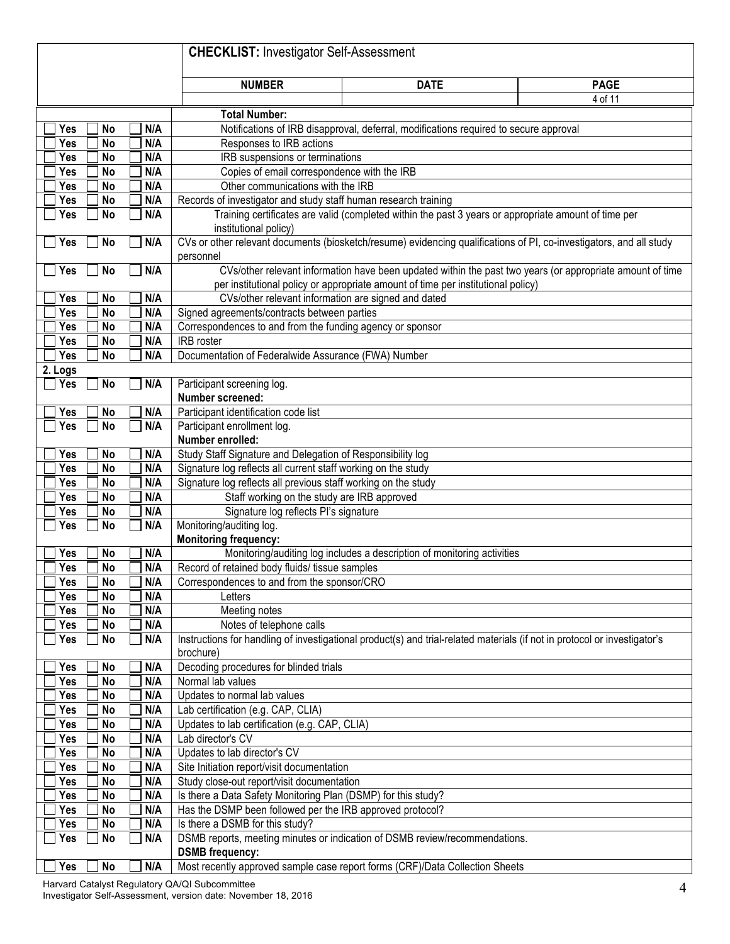|                   | <b>CHECKLIST: Investigator Self-Assessment</b> |  |            |                                                                                                                           |                                                                                                      |                                                                                                                     |  |  |  |  |
|-------------------|------------------------------------------------|--|------------|---------------------------------------------------------------------------------------------------------------------------|------------------------------------------------------------------------------------------------------|---------------------------------------------------------------------------------------------------------------------|--|--|--|--|
|                   |                                                |  |            | <b>NUMBER</b>                                                                                                             | <b>DATE</b>                                                                                          | <b>PAGE</b>                                                                                                         |  |  |  |  |
|                   |                                                |  |            |                                                                                                                           |                                                                                                      | 4 of 11                                                                                                             |  |  |  |  |
|                   |                                                |  |            |                                                                                                                           | <b>Total Number:</b>                                                                                 |                                                                                                                     |  |  |  |  |
| Yes               | No                                             |  | N/A        |                                                                                                                           | Notifications of IRB disapproval, deferral, modifications required to secure approval                |                                                                                                                     |  |  |  |  |
| $\overline{Y}$ es | No                                             |  | N/A        | Responses to IRB actions                                                                                                  |                                                                                                      |                                                                                                                     |  |  |  |  |
| Yes               | <b>No</b>                                      |  | N/A        | IRB suspensions or terminations                                                                                           |                                                                                                      |                                                                                                                     |  |  |  |  |
| Yes               | <b>No</b>                                      |  | N/A        | Copies of email correspondence with the IRB                                                                               |                                                                                                      |                                                                                                                     |  |  |  |  |
| Yes               | <b>No</b>                                      |  | N/A        | Other communications with the IRB                                                                                         |                                                                                                      |                                                                                                                     |  |  |  |  |
| Yes               | <b>No</b>                                      |  | N/A        | Records of investigator and study staff human research training                                                           |                                                                                                      |                                                                                                                     |  |  |  |  |
| Yes               | No                                             |  | N/A        | institutional policy)                                                                                                     | Training certificates are valid (completed within the past 3 years or appropriate amount of time per |                                                                                                                     |  |  |  |  |
| Yes               | <b>No</b>                                      |  | N/A        | personnel                                                                                                                 |                                                                                                      | CVs or other relevant documents (biosketch/resume) evidencing qualifications of PI, co-investigators, and all study |  |  |  |  |
| Yes               | No                                             |  | N/A        |                                                                                                                           | per institutional policy or appropriate amount of time per institutional policy)                     | CVs/other relevant information have been updated within the past two years (or appropriate amount of time           |  |  |  |  |
| Yes               | No                                             |  | N/A        | CVs/other relevant information are signed and dated                                                                       |                                                                                                      |                                                                                                                     |  |  |  |  |
| Yes               | No                                             |  | N/A        | Signed agreements/contracts between parties                                                                               |                                                                                                      |                                                                                                                     |  |  |  |  |
| Yes               | No                                             |  | N/A        | Correspondences to and from the funding agency or sponsor                                                                 |                                                                                                      |                                                                                                                     |  |  |  |  |
| Yes               | No                                             |  | N/A        | <b>IRB</b> roster                                                                                                         |                                                                                                      |                                                                                                                     |  |  |  |  |
| Yes               | <b>No</b>                                      |  | N/A        | Documentation of Federalwide Assurance (FWA) Number                                                                       |                                                                                                      |                                                                                                                     |  |  |  |  |
| 2. Logs           |                                                |  |            |                                                                                                                           |                                                                                                      |                                                                                                                     |  |  |  |  |
| Yes               | <b>No</b>                                      |  | N/A        | Participant screening log.                                                                                                |                                                                                                      |                                                                                                                     |  |  |  |  |
|                   |                                                |  |            | Number screened:                                                                                                          |                                                                                                      |                                                                                                                     |  |  |  |  |
| Yes               | No                                             |  | N/A        | Participant identification code list                                                                                      |                                                                                                      |                                                                                                                     |  |  |  |  |
| <b>Yes</b>        | <b>No</b>                                      |  | N/A        | Participant enrollment log.                                                                                               |                                                                                                      |                                                                                                                     |  |  |  |  |
|                   |                                                |  |            | Number enrolled:                                                                                                          |                                                                                                      |                                                                                                                     |  |  |  |  |
| Yes               | <b>No</b>                                      |  | N/A        | Study Staff Signature and Delegation of Responsibility log                                                                |                                                                                                      |                                                                                                                     |  |  |  |  |
| Yes               | <b>No</b>                                      |  | N/A        | Signature log reflects all current staff working on the study                                                             |                                                                                                      |                                                                                                                     |  |  |  |  |
| Yes               | No                                             |  | N/A        | Signature log reflects all previous staff working on the study                                                            |                                                                                                      |                                                                                                                     |  |  |  |  |
| Yes               | <b>No</b>                                      |  | N/A        | Staff working on the study are IRB approved                                                                               |                                                                                                      |                                                                                                                     |  |  |  |  |
| Yes               | No                                             |  | N/A        | Signature log reflects Pl's signature                                                                                     |                                                                                                      |                                                                                                                     |  |  |  |  |
| Yes               | No                                             |  | N/A        | Monitoring/auditing log.                                                                                                  |                                                                                                      |                                                                                                                     |  |  |  |  |
|                   |                                                |  |            | <b>Monitoring frequency:</b>                                                                                              |                                                                                                      |                                                                                                                     |  |  |  |  |
| Yes               | No                                             |  | N/A        |                                                                                                                           | Monitoring/auditing log includes a description of monitoring activities                              |                                                                                                                     |  |  |  |  |
| <b>Yes</b>        | <b>No</b>                                      |  | N/A        | Record of retained body fluids/ tissue samples                                                                            |                                                                                                      |                                                                                                                     |  |  |  |  |
| Yes<br>Yes        | No<br><b>No</b>                                |  | N/A<br>N/A | Correspondences to and from the sponsor/CRO                                                                               |                                                                                                      |                                                                                                                     |  |  |  |  |
| Yes               | No                                             |  | N/A        | Letters<br>Meeting notes                                                                                                  |                                                                                                      |                                                                                                                     |  |  |  |  |
| Yes               | No                                             |  | N/A        | Notes of telephone calls                                                                                                  |                                                                                                      |                                                                                                                     |  |  |  |  |
| Yes               | No                                             |  | N/A        | Instructions for handling of investigational product(s) and trial-related materials (if not in protocol or investigator's |                                                                                                      |                                                                                                                     |  |  |  |  |
|                   |                                                |  |            | brochure)                                                                                                                 |                                                                                                      |                                                                                                                     |  |  |  |  |
| Yes               | No                                             |  | N/A        | Decoding procedures for blinded trials                                                                                    |                                                                                                      |                                                                                                                     |  |  |  |  |
| Yes               | No                                             |  | N/A        | Normal lab values                                                                                                         |                                                                                                      |                                                                                                                     |  |  |  |  |
| Yes               | No                                             |  | N/A        | Updates to normal lab values                                                                                              |                                                                                                      |                                                                                                                     |  |  |  |  |
| Yes               | No                                             |  | N/A        | Lab certification (e.g. CAP, CLIA)                                                                                        |                                                                                                      |                                                                                                                     |  |  |  |  |
| Yes               | No                                             |  | N/A        | Updates to lab certification (e.g. CAP, CLIA)                                                                             |                                                                                                      |                                                                                                                     |  |  |  |  |
| Yes               | No                                             |  | N/A        | Lab director's CV                                                                                                         |                                                                                                      |                                                                                                                     |  |  |  |  |
| Yes               | No                                             |  | N/A        | Updates to lab director's CV                                                                                              |                                                                                                      |                                                                                                                     |  |  |  |  |
| Yes               | No                                             |  | N/A        | Site Initiation report/visit documentation                                                                                |                                                                                                      |                                                                                                                     |  |  |  |  |
| Yes               | No                                             |  | N/A        | Study close-out report/visit documentation                                                                                |                                                                                                      |                                                                                                                     |  |  |  |  |
| Yes               | No                                             |  | N/A        | Is there a Data Safety Monitoring Plan (DSMP) for this study?                                                             |                                                                                                      |                                                                                                                     |  |  |  |  |
| Yes               | No                                             |  | N/A        | Has the DSMP been followed per the IRB approved protocol?                                                                 |                                                                                                      |                                                                                                                     |  |  |  |  |
| Yes               | No                                             |  | N/A        | Is there a DSMB for this study?                                                                                           |                                                                                                      |                                                                                                                     |  |  |  |  |
| Yes               | No                                             |  | N/A        | DSMB reports, meeting minutes or indication of DSMB review/recommendations.<br><b>DSMB</b> frequency:                     |                                                                                                      |                                                                                                                     |  |  |  |  |
| Yes               | No                                             |  | N/A        | Most recently approved sample case report forms (CRF)/Data Collection Sheets                                              |                                                                                                      |                                                                                                                     |  |  |  |  |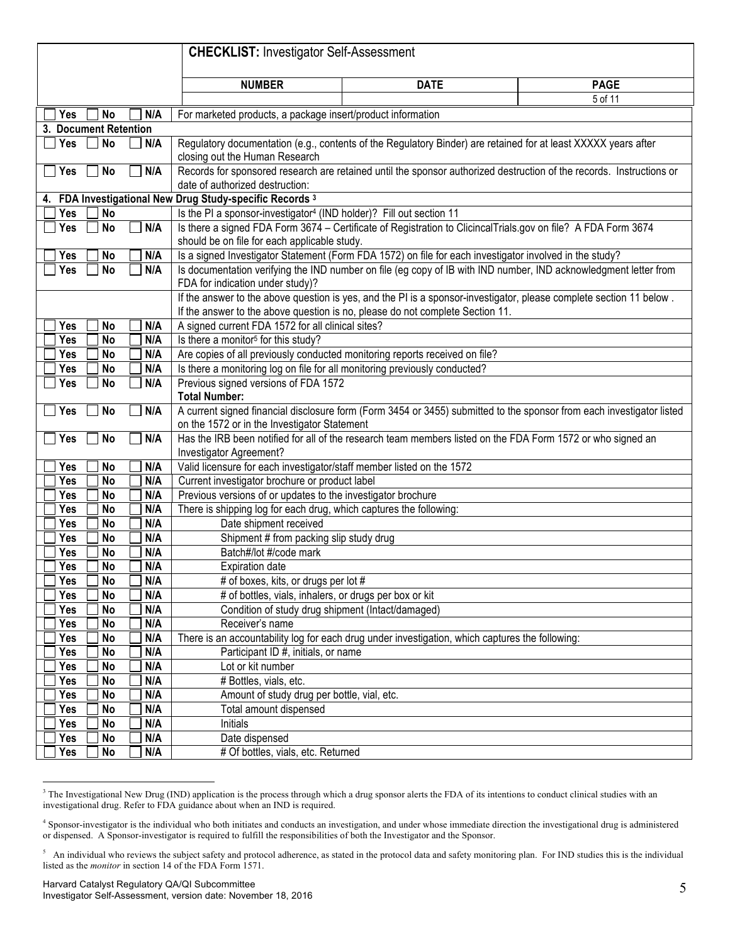|            | <b>CHECKLIST: Investigator Self-Assessment</b>                                                                              |  |            |                                                                                                                                                                       |             |             |  |  |
|------------|-----------------------------------------------------------------------------------------------------------------------------|--|------------|-----------------------------------------------------------------------------------------------------------------------------------------------------------------------|-------------|-------------|--|--|
|            |                                                                                                                             |  |            | <b>NUMBER</b>                                                                                                                                                         | <b>DATE</b> | <b>PAGE</b> |  |  |
|            |                                                                                                                             |  |            |                                                                                                                                                                       |             | 5 of 11     |  |  |
| <b>Yes</b> | <b>No</b>                                                                                                                   |  | N/A        |                                                                                                                                                                       |             |             |  |  |
|            | For marketed products, a package insert/product information<br>3. Document Retention                                        |  |            |                                                                                                                                                                       |             |             |  |  |
| Yes        | Regulatory documentation (e.g., contents of the Regulatory Binder) are retained for at least XXXXX years after<br>No<br>N/A |  |            |                                                                                                                                                                       |             |             |  |  |
|            |                                                                                                                             |  |            | closing out the Human Research                                                                                                                                        |             |             |  |  |
| Yes        | No                                                                                                                          |  | N/A        | Records for sponsored research are retained until the sponsor authorized destruction of the records. Instructions or<br>date of authorized destruction:               |             |             |  |  |
|            |                                                                                                                             |  |            | 4. FDA Investigational New Drug Study-specific Records 3                                                                                                              |             |             |  |  |
| Yes        | No                                                                                                                          |  |            | Is the PI a sponsor-investigator <sup>4</sup> (IND holder)? Fill out section 11                                                                                       |             |             |  |  |
| Yes        | <b>No</b>                                                                                                                   |  | N/A        | Is there a signed FDA Form 3674 - Certificate of Registration to ClicincalTrials.gov on file? A FDA Form 3674                                                         |             |             |  |  |
|            |                                                                                                                             |  |            | should be on file for each applicable study.                                                                                                                          |             |             |  |  |
| <b>Yes</b> | No                                                                                                                          |  | N/A        | Is a signed Investigator Statement (Form FDA 1572) on file for each investigator involved in the study?                                                               |             |             |  |  |
| Yes        | <b>No</b>                                                                                                                   |  | N/A        | Is documentation verifying the IND number on file (eg copy of IB with IND number, IND acknowledgment letter from                                                      |             |             |  |  |
|            |                                                                                                                             |  |            | FDA for indication under study)?                                                                                                                                      |             |             |  |  |
|            |                                                                                                                             |  |            | If the answer to the above question is yes, and the PI is a sponsor-investigator, please complete section 11 below.                                                   |             |             |  |  |
| Yes        | No                                                                                                                          |  | N/A        | If the answer to the above question is no, please do not complete Section 11.                                                                                         |             |             |  |  |
| Yes        | No                                                                                                                          |  | N/A        | A signed current FDA 1572 for all clinical sites?                                                                                                                     |             |             |  |  |
| Yes        | No                                                                                                                          |  | N/A        | Is there a monitor <sup>5</sup> for this study?<br>Are copies of all previously conducted monitoring reports received on file?                                        |             |             |  |  |
| Yes        | No                                                                                                                          |  | N/A        | Is there a monitoring log on file for all monitoring previously conducted?                                                                                            |             |             |  |  |
| Yes        | No                                                                                                                          |  | N/A        | Previous signed versions of FDA 1572                                                                                                                                  |             |             |  |  |
|            |                                                                                                                             |  |            | <b>Total Number:</b>                                                                                                                                                  |             |             |  |  |
| Yes        | No                                                                                                                          |  | N/A        | A current signed financial disclosure form (Form 3454 or 3455) submitted to the sponsor from each investigator listed<br>on the 1572 or in the Investigator Statement |             |             |  |  |
| Yes        | No                                                                                                                          |  | N/A        | Has the IRB been notified for all of the research team members listed on the FDA Form 1572 or who signed an                                                           |             |             |  |  |
|            |                                                                                                                             |  |            | Investigator Agreement?                                                                                                                                               |             |             |  |  |
| Yes        | No                                                                                                                          |  | N/A        | Valid licensure for each investigator/staff member listed on the 1572                                                                                                 |             |             |  |  |
| Yes        | <b>No</b>                                                                                                                   |  | N/A        | Current investigator brochure or product label                                                                                                                        |             |             |  |  |
| Yes        | No                                                                                                                          |  | N/A        | Previous versions of or updates to the investigator brochure                                                                                                          |             |             |  |  |
| Yes        | No                                                                                                                          |  | N/A        | There is shipping log for each drug, which captures the following:                                                                                                    |             |             |  |  |
| Yes        | No                                                                                                                          |  | N/A        | Date shipment received                                                                                                                                                |             |             |  |  |
| Yes        | <b>No</b>                                                                                                                   |  | N/A        | Shipment # from packing slip study drug                                                                                                                               |             |             |  |  |
| Yes        | No                                                                                                                          |  | N/A        | Batch#/lot #/code mark                                                                                                                                                |             |             |  |  |
| <b>Yes</b> | <b>No</b>                                                                                                                   |  | N/A        | <b>Expiration date</b>                                                                                                                                                |             |             |  |  |
| Yes        | No                                                                                                                          |  | N/A        | # of boxes, kits, or drugs per lot #                                                                                                                                  |             |             |  |  |
| Yes<br>Yes | No<br>No                                                                                                                    |  | N/A<br>N/A | # of bottles, vials, inhalers, or drugs per box or kit<br>Condition of study drug shipment (Intact/damaged)                                                           |             |             |  |  |
| Yes        | No                                                                                                                          |  | N/A        | Receiver's name                                                                                                                                                       |             |             |  |  |
| Yes        | No                                                                                                                          |  | N/A        | There is an accountability log for each drug under investigation, which captures the following:                                                                       |             |             |  |  |
| <b>Yes</b> | <b>No</b>                                                                                                                   |  | N/A        | Participant ID #, initials, or name                                                                                                                                   |             |             |  |  |
| <b>Yes</b> | <b>No</b>                                                                                                                   |  | N/A        | Lot or kit number                                                                                                                                                     |             |             |  |  |
|            | <b>Yes</b><br><b>No</b><br>N/A<br># Bottles, vials, etc.                                                                    |  |            |                                                                                                                                                                       |             |             |  |  |
| <b>Yes</b> | N/A<br>Amount of study drug per bottle, vial, etc.<br>No                                                                    |  |            |                                                                                                                                                                       |             |             |  |  |
| <b>Yes</b> | No                                                                                                                          |  | N/A        | Total amount dispensed                                                                                                                                                |             |             |  |  |
| <b>Yes</b> | No                                                                                                                          |  | N/A        | Initials                                                                                                                                                              |             |             |  |  |
| <b>Yes</b> | No                                                                                                                          |  | N/A        | Date dispensed                                                                                                                                                        |             |             |  |  |
| <b>Yes</b> | No                                                                                                                          |  | N/A        | # Of bottles, vials, etc. Returned                                                                                                                                    |             |             |  |  |

<sup>&</sup>lt;sup>3</sup> The Investigational New Drug (IND) application is the process through which a drug sponsor alerts the FDA of its intentions to conduct clinical studies with an investigational drug. Refer to FDA guidance about when an IND is required.

<sup>4</sup> Sponsor-investigator is the individual who both initiates and conducts an investigation, and under whose immediate direction the investigational drug is administered or dispensed. A Sponsor-investigator is required to fulfill the responsibilities of both the Investigator and the Sponsor.

 $5$  An individual who reviews the subject safety and protocol adherence, as stated in the protocol data and safety monitoring plan. For IND studies this is the individual listed as the *monitor* in section 14 of the FDA Form 1571.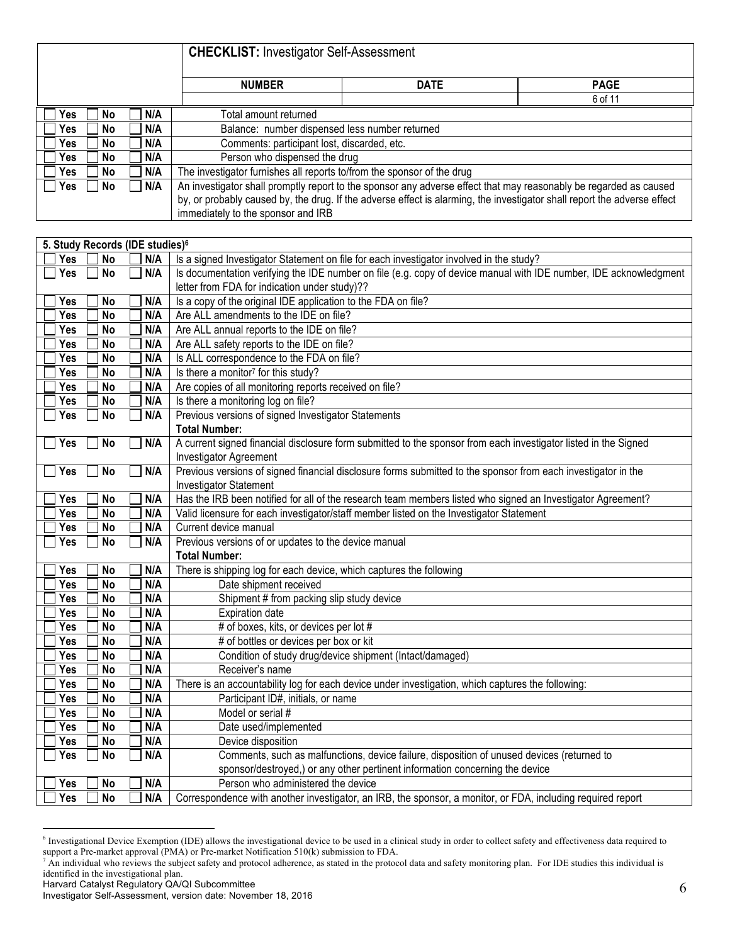|                         |                                    | <b>CHECKLIST: Investigator Self-Assessment</b>                                                                           |             |  |  |
|-------------------------|------------------------------------|--------------------------------------------------------------------------------------------------------------------------|-------------|--|--|
|                         | <b>NUMBER</b>                      | <b>DATE</b>                                                                                                              | <b>PAGE</b> |  |  |
|                         |                                    |                                                                                                                          | 6 of 11     |  |  |
| N/A<br>Yes<br>No        | Total amount returned              |                                                                                                                          |             |  |  |
| N/A<br><b>Yes</b><br>No |                                    | Balance: number dispensed less number returned                                                                           |             |  |  |
| N/A<br><b>Yes</b><br>No |                                    | Comments: participant lost, discarded, etc.                                                                              |             |  |  |
| N/A<br>Yes<br>No        |                                    | Person who dispensed the drug                                                                                            |             |  |  |
| N/A<br>Yes.<br>No       |                                    | The investigator furnishes all reports to/from the sponsor of the drug                                                   |             |  |  |
| N/A<br><b>Yes</b><br>No |                                    | An investigator shall promptly report to the sponsor any adverse effect that may reasonably be regarded as caused        |             |  |  |
|                         |                                    | by, or probably caused by, the drug. If the adverse effect is alarming, the investigator shall report the adverse effect |             |  |  |
|                         | immediately to the sponsor and IRB |                                                                                                                          |             |  |  |

| 5. Study Records (IDE studies) <sup>6</sup> |                                                                                 |     |                                                                                                                   |
|---------------------------------------------|---------------------------------------------------------------------------------|-----|-------------------------------------------------------------------------------------------------------------------|
| Yes                                         | No                                                                              | N/A | Is a signed Investigator Statement on file for each investigator involved in the study?                           |
| Yes                                         | <b>No</b>                                                                       | N/A | Is documentation verifying the IDE number on file (e.g. copy of device manual with IDE number, IDE acknowledgment |
|                                             |                                                                                 |     | letter from FDA for indication under study)??                                                                     |
| Yes                                         | <b>No</b>                                                                       | N/A | Is a copy of the original IDE application to the FDA on file?                                                     |
| Yes                                         | <b>No</b>                                                                       | N/A | Are ALL amendments to the IDE on file?                                                                            |
| Yes                                         | <b>No</b>                                                                       | N/A | Are ALL annual reports to the IDE on file?                                                                        |
| Yes                                         | <b>No</b>                                                                       | N/A | Are ALL safety reports to the IDE on file?                                                                        |
| Yes                                         | <b>No</b>                                                                       | N/A | Is ALL correspondence to the FDA on file?                                                                         |
| Yes                                         | <b>No</b>                                                                       | N/A | Is there a monitor <sup>7</sup> for this study?                                                                   |
| Yes                                         | No                                                                              | N/A | Are copies of all monitoring reports received on file?                                                            |
| Yes                                         | <b>No</b>                                                                       | N/A | Is there a monitoring log on file?                                                                                |
| <b>Yes</b>                                  | No                                                                              | N/A | Previous versions of signed Investigator Statements                                                               |
|                                             |                                                                                 |     | <b>Total Number:</b>                                                                                              |
| <b>Yes</b>                                  | <b>No</b>                                                                       | N/A | A current signed financial disclosure form submitted to the sponsor from each investigator listed in the Signed   |
|                                             |                                                                                 |     | Investigator Agreement                                                                                            |
| <b>Yes</b>                                  | <b>No</b>                                                                       | N/A | Previous versions of signed financial disclosure forms submitted to the sponsor from each investigator in the     |
|                                             |                                                                                 |     | <b>Investigator Statement</b>                                                                                     |
| Yes                                         | No                                                                              | N/A | Has the IRB been notified for all of the research team members listed who signed an Investigator Agreement?       |
| Yes                                         | <b>No</b>                                                                       | N/A | Valid licensure for each investigator/staff member listed on the Investigator Statement                           |
| Yes                                         | <b>No</b>                                                                       | N/A | Current device manual                                                                                             |
|                                             | Yes<br>N/A<br>Previous versions of or updates to the device manual<br><b>No</b> |     |                                                                                                                   |
|                                             |                                                                                 |     | <b>Total Number:</b>                                                                                              |
| <b>Yes</b>                                  | <b>No</b>                                                                       | N/A | There is shipping log for each device, which captures the following                                               |
| <b>Yes</b>                                  | No                                                                              | N/A | Date shipment received                                                                                            |
| <b>Yes</b>                                  | <b>No</b>                                                                       | N/A | Shipment # from packing slip study device                                                                         |
| Yes                                         | No                                                                              | N/A | <b>Expiration date</b>                                                                                            |
| Yes                                         | No                                                                              | N/A | # of boxes, kits, or devices per lot #                                                                            |
| Yes                                         | <b>No</b>                                                                       | N/A | # of bottles or devices per box or kit                                                                            |
| Yes                                         | <b>No</b>                                                                       | N/A | Condition of study drug/device shipment (Intact/damaged)                                                          |
| Yes                                         | <b>No</b>                                                                       | N/A | Receiver's name                                                                                                   |
| <b>Yes</b>                                  | <b>No</b>                                                                       | N/A | There is an accountability log for each device under investigation, which captures the following:                 |
| Yes                                         | No                                                                              | N/A | Participant ID#, initials, or name                                                                                |
| Yes                                         | <b>No</b>                                                                       | N/A | Model or serial #                                                                                                 |
| Yes                                         | <b>No</b>                                                                       | N/A | Date used/implemented                                                                                             |
| Yes                                         | <b>No</b>                                                                       | N/A | Device disposition                                                                                                |
| Yes                                         | <b>No</b>                                                                       | N/A | Comments, such as malfunctions, device failure, disposition of unused devices (returned to                        |
|                                             |                                                                                 |     | sponsor/destroyed,) or any other pertinent information concerning the device                                      |
| Yes                                         | No                                                                              | N/A | Person who administered the device                                                                                |
| <b>Yes</b>                                  | <b>No</b>                                                                       | N/A | Correspondence with another investigator, an IRB, the sponsor, a monitor, or FDA, including required report       |

<sup>&</sup>lt;sup>6</sup> Investigational Device Exemption (IDE) allows the investigational device to be used in a clinical study in order to collect safety and effectiveness data required to support a Pre-market approval (PMA) or Pre-market N support a Pre-market approval (PMA) or Pre-market Notification 510(k) submission to FDA.<br><sup>7</sup> An individual who reviews the subject safety and protocol adherence, as stated in the protocol data and safety monitoring plan. F

identified in the investigational plan.

Harvard Catalyst Regulatory QA/QI Subcommittee<br>Investigator Self-Assessment, version date: November 18, 2016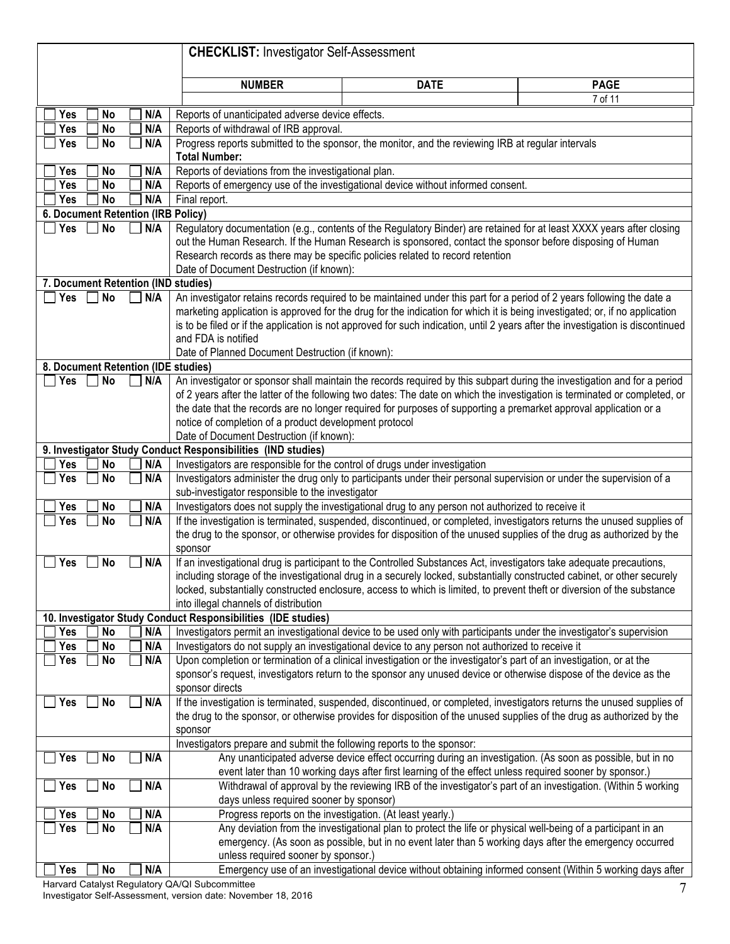|                                    | <b>CHECKLIST: Investigator Self-Assessment</b> |           |  |     |                                                                                                                                                                                                                                            |                                                                                                                                                                                                                       |                                                                                                                                 |
|------------------------------------|------------------------------------------------|-----------|--|-----|--------------------------------------------------------------------------------------------------------------------------------------------------------------------------------------------------------------------------------------------|-----------------------------------------------------------------------------------------------------------------------------------------------------------------------------------------------------------------------|---------------------------------------------------------------------------------------------------------------------------------|
|                                    |                                                |           |  |     | <b>NUMBER</b>                                                                                                                                                                                                                              | <b>DATE</b>                                                                                                                                                                                                           | <b>PAGE</b>                                                                                                                     |
|                                    |                                                |           |  |     |                                                                                                                                                                                                                                            |                                                                                                                                                                                                                       | 7 of 11                                                                                                                         |
| Yes                                |                                                | No        |  | N/A | Reports of unanticipated adverse device effects.                                                                                                                                                                                           |                                                                                                                                                                                                                       |                                                                                                                                 |
| Yes                                |                                                | No        |  | N/A | Reports of withdrawal of IRB approval.                                                                                                                                                                                                     |                                                                                                                                                                                                                       |                                                                                                                                 |
| Yes                                |                                                | No        |  | N/A | Progress reports submitted to the sponsor, the monitor, and the reviewing IRB at regular intervals                                                                                                                                         |                                                                                                                                                                                                                       |                                                                                                                                 |
|                                    |                                                |           |  |     | <b>Total Number:</b>                                                                                                                                                                                                                       |                                                                                                                                                                                                                       |                                                                                                                                 |
| Yes                                |                                                | No        |  | N/A | Reports of deviations from the investigational plan.                                                                                                                                                                                       |                                                                                                                                                                                                                       |                                                                                                                                 |
| <b>Yes</b>                         |                                                | No        |  | N/A | Reports of emergency use of the investigational device without informed consent.                                                                                                                                                           |                                                                                                                                                                                                                       |                                                                                                                                 |
| <b>Yes</b>                         |                                                | <b>No</b> |  | N/A | Final report.                                                                                                                                                                                                                              |                                                                                                                                                                                                                       |                                                                                                                                 |
| 6. Document Retention (IRB Policy) |                                                |           |  |     |                                                                                                                                                                                                                                            |                                                                                                                                                                                                                       |                                                                                                                                 |
| Yes                                |                                                | No        |  | N/A | out the Human Research. If the Human Research is sponsored, contact the sponsor before disposing of Human                                                                                                                                  |                                                                                                                                                                                                                       | Regulatory documentation (e.g., contents of the Regulatory Binder) are retained for at least XXXX years after closing           |
|                                    |                                                |           |  |     | Research records as there may be specific policies related to record retention                                                                                                                                                             |                                                                                                                                                                                                                       |                                                                                                                                 |
|                                    |                                                |           |  |     | Date of Document Destruction (if known):                                                                                                                                                                                                   |                                                                                                                                                                                                                       |                                                                                                                                 |
|                                    |                                                |           |  |     | 7. Document Retention (IND studies)                                                                                                                                                                                                        |                                                                                                                                                                                                                       |                                                                                                                                 |
| Yes                                |                                                | No        |  | N/A | An investigator retains records required to be maintained under this part for a period of 2 years following the date a                                                                                                                     |                                                                                                                                                                                                                       |                                                                                                                                 |
|                                    |                                                |           |  |     | marketing application is approved for the drug for the indication for which it is being investigated; or, if no application                                                                                                                |                                                                                                                                                                                                                       |                                                                                                                                 |
|                                    |                                                |           |  |     |                                                                                                                                                                                                                                            |                                                                                                                                                                                                                       | is to be filed or if the application is not approved for such indication, until 2 years after the investigation is discontinued |
|                                    |                                                |           |  |     | and FDA is notified                                                                                                                                                                                                                        |                                                                                                                                                                                                                       |                                                                                                                                 |
|                                    |                                                |           |  |     | Date of Planned Document Destruction (if known):<br>8. Document Retention (IDE studies)                                                                                                                                                    |                                                                                                                                                                                                                       |                                                                                                                                 |
| Yes                                |                                                | No        |  | N/A |                                                                                                                                                                                                                                            |                                                                                                                                                                                                                       | An investigator or sponsor shall maintain the records required by this subpart during the investigation and for a period        |
|                                    |                                                |           |  |     |                                                                                                                                                                                                                                            |                                                                                                                                                                                                                       | of 2 years after the latter of the following two dates: The date on which the investigation is terminated or completed, or      |
|                                    |                                                |           |  |     | the date that the records are no longer required for purposes of supporting a premarket approval application or a                                                                                                                          |                                                                                                                                                                                                                       |                                                                                                                                 |
|                                    |                                                |           |  |     | notice of completion of a product development protocol                                                                                                                                                                                     |                                                                                                                                                                                                                       |                                                                                                                                 |
|                                    |                                                |           |  |     | Date of Document Destruction (if known):                                                                                                                                                                                                   |                                                                                                                                                                                                                       |                                                                                                                                 |
|                                    |                                                |           |  |     | 9. Investigator Study Conduct Responsibilities (IND studies)                                                                                                                                                                               |                                                                                                                                                                                                                       |                                                                                                                                 |
| <b>Yes</b>                         |                                                | No        |  | N/A | Investigators are responsible for the control of drugs under investigation                                                                                                                                                                 |                                                                                                                                                                                                                       |                                                                                                                                 |
| <b>Yes</b>                         |                                                | No        |  | N/A | Investigators administer the drug only to participants under their personal supervision or under the supervision of a<br>sub-investigator responsible to the investigator                                                                  |                                                                                                                                                                                                                       |                                                                                                                                 |
| Yes                                |                                                | No        |  | N/A | Investigators does not supply the investigational drug to any person not authorized to receive it                                                                                                                                          |                                                                                                                                                                                                                       |                                                                                                                                 |
| Yes                                |                                                | No        |  | N/A |                                                                                                                                                                                                                                            |                                                                                                                                                                                                                       | If the investigation is terminated, suspended, discontinued, or completed, investigators returns the unused supplies of         |
|                                    |                                                |           |  |     |                                                                                                                                                                                                                                            |                                                                                                                                                                                                                       | the drug to the sponsor, or otherwise provides for disposition of the unused supplies of the drug as authorized by the          |
| Yes                                |                                                | No        |  | N/A | sponsor<br>If an investigational drug is participant to the Controlled Substances Act, investigators take adequate precautions,                                                                                                            |                                                                                                                                                                                                                       |                                                                                                                                 |
|                                    |                                                |           |  |     | including storage of the investigational drug in a securely locked, substantially constructed cabinet, or other securely                                                                                                                   |                                                                                                                                                                                                                       |                                                                                                                                 |
|                                    |                                                |           |  |     | locked, substantially constructed enclosure, access to which is limited, to prevent theft or diversion of the substance                                                                                                                    |                                                                                                                                                                                                                       |                                                                                                                                 |
|                                    |                                                |           |  |     | into illegal channels of distribution                                                                                                                                                                                                      |                                                                                                                                                                                                                       |                                                                                                                                 |
|                                    |                                                |           |  |     | 10. Investigator Study Conduct Responsibilities (IDE studies)                                                                                                                                                                              |                                                                                                                                                                                                                       |                                                                                                                                 |
| Yes                                |                                                | No        |  | N/A | Investigators permit an investigational device to be used only with participants under the investigator's supervision                                                                                                                      |                                                                                                                                                                                                                       |                                                                                                                                 |
| Yes                                |                                                | No        |  | N/A | Investigators do not supply an investigational device to any person not authorized to receive it                                                                                                                                           |                                                                                                                                                                                                                       |                                                                                                                                 |
| Yes                                |                                                | No        |  | N/A | Upon completion or termination of a clinical investigation or the investigator's part of an investigation, or at the<br>sponsor's request, investigators return to the sponsor any unused device or otherwise dispose of the device as the |                                                                                                                                                                                                                       |                                                                                                                                 |
|                                    |                                                |           |  |     | sponsor directs                                                                                                                                                                                                                            |                                                                                                                                                                                                                       |                                                                                                                                 |
| Yes                                |                                                | No        |  | N/A |                                                                                                                                                                                                                                            |                                                                                                                                                                                                                       | If the investigation is terminated, suspended, discontinued, or completed, investigators returns the unused supplies of         |
|                                    |                                                |           |  |     |                                                                                                                                                                                                                                            |                                                                                                                                                                                                                       | the drug to the sponsor, or otherwise provides for disposition of the unused supplies of the drug as authorized by the          |
|                                    |                                                |           |  |     | sponsor                                                                                                                                                                                                                                    |                                                                                                                                                                                                                       |                                                                                                                                 |
|                                    |                                                |           |  |     | Investigators prepare and submit the following reports to the sponsor:                                                                                                                                                                     |                                                                                                                                                                                                                       |                                                                                                                                 |
| Yes                                |                                                | No        |  | N/A |                                                                                                                                                                                                                                            | Any unanticipated adverse device effect occurring during an investigation. (As soon as possible, but in no<br>event later than 10 working days after first learning of the effect unless required sooner by sponsor.) |                                                                                                                                 |
| Yes                                |                                                | <b>No</b> |  | N/A |                                                                                                                                                                                                                                            |                                                                                                                                                                                                                       | Withdrawal of approval by the reviewing IRB of the investigator's part of an investigation. (Within 5 working                   |
|                                    |                                                |           |  |     | days unless required sooner by sponsor)                                                                                                                                                                                                    |                                                                                                                                                                                                                       |                                                                                                                                 |
| Yes                                |                                                | No        |  | N/A | Progress reports on the investigation. (At least yearly.)                                                                                                                                                                                  |                                                                                                                                                                                                                       |                                                                                                                                 |
| Yes                                |                                                | No        |  | N/A |                                                                                                                                                                                                                                            | Any deviation from the investigational plan to protect the life or physical well-being of a participant in an                                                                                                         |                                                                                                                                 |
|                                    |                                                |           |  |     |                                                                                                                                                                                                                                            | emergency. (As soon as possible, but in no event later than 5 working days after the emergency occurred                                                                                                               |                                                                                                                                 |
|                                    |                                                |           |  |     | unless required sooner by sponsor.)                                                                                                                                                                                                        |                                                                                                                                                                                                                       |                                                                                                                                 |
| Yes                                |                                                | No        |  | N/A |                                                                                                                                                                                                                                            |                                                                                                                                                                                                                       | Emergency use of an investigational device without obtaining informed consent (Within 5 working days after                      |

Harvard Catalyst Regulatory QA/QI Subcommittee Investigator Self-Assessment, version date: November 18, 2016 7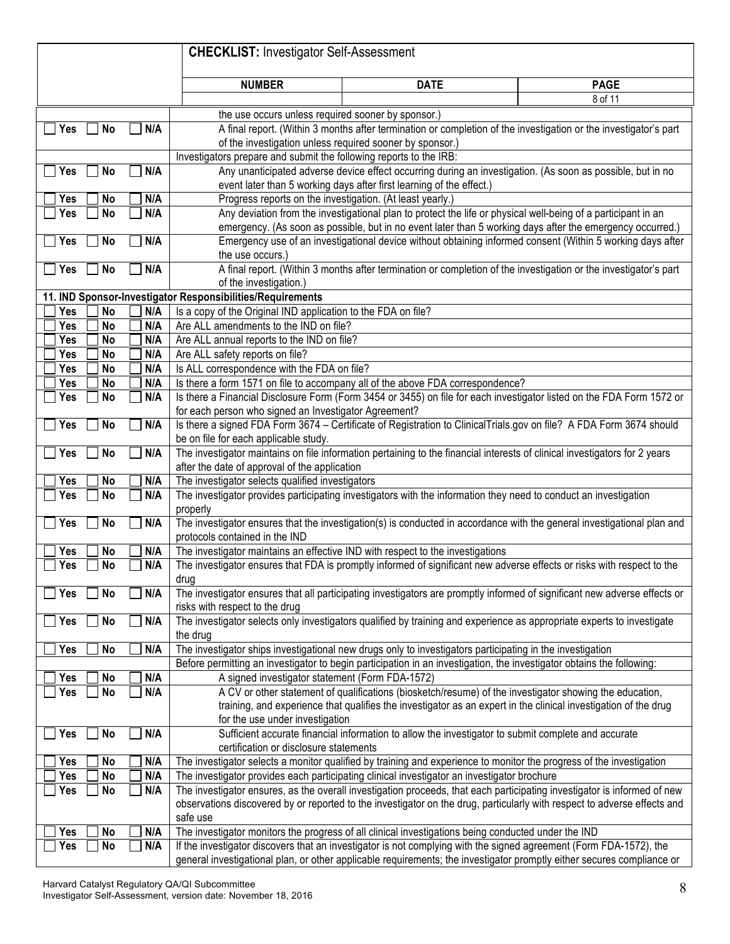|                                      | <b>CHECKLIST: Investigator Self-Assessment</b>                                                                                                                               |                                                                                                                                                                                                                                    |             |  |  |
|--------------------------------------|------------------------------------------------------------------------------------------------------------------------------------------------------------------------------|------------------------------------------------------------------------------------------------------------------------------------------------------------------------------------------------------------------------------------|-------------|--|--|
|                                      |                                                                                                                                                                              |                                                                                                                                                                                                                                    |             |  |  |
|                                      | <b>NUMBER</b>                                                                                                                                                                | <b>DATE</b>                                                                                                                                                                                                                        | <b>PAGE</b> |  |  |
|                                      | 8 of 11                                                                                                                                                                      |                                                                                                                                                                                                                                    |             |  |  |
| N/A<br><b>No</b>                     | the use occurs unless required sooner by sponsor.)                                                                                                                           |                                                                                                                                                                                                                                    |             |  |  |
| Yes                                  | A final report. (Within 3 months after termination or completion of the investigation or the investigator's part<br>of the investigation unless required sooner by sponsor.) |                                                                                                                                                                                                                                    |             |  |  |
|                                      | Investigators prepare and submit the following reports to the IRB:                                                                                                           |                                                                                                                                                                                                                                    |             |  |  |
| <b>No</b><br>N/A<br>$\Box$ Yes       |                                                                                                                                                                              | Any unanticipated adverse device effect occurring during an investigation. (As soon as possible, but in no                                                                                                                         |             |  |  |
|                                      |                                                                                                                                                                              | event later than 5 working days after first learning of the effect.)                                                                                                                                                               |             |  |  |
| Yes<br>N/A<br>No                     | Progress reports on the investigation. (At least yearly.)                                                                                                                    |                                                                                                                                                                                                                                    |             |  |  |
| N/A<br><b>No</b><br>Yes              |                                                                                                                                                                              | Any deviation from the investigational plan to protect the life or physical well-being of a participant in an                                                                                                                      |             |  |  |
|                                      |                                                                                                                                                                              | emergency. (As soon as possible, but in no event later than 5 working days after the emergency occurred.)                                                                                                                          |             |  |  |
| N/A<br>Yes<br><b>No</b>              |                                                                                                                                                                              | Emergency use of an investigational device without obtaining informed consent (Within 5 working days after                                                                                                                         |             |  |  |
|                                      | the use occurs.)                                                                                                                                                             |                                                                                                                                                                                                                                    |             |  |  |
| N/A<br>$\Box$ Yes<br><b>No</b>       |                                                                                                                                                                              | A final report. (Within 3 months after termination or completion of the investigation or the investigator's part                                                                                                                   |             |  |  |
|                                      | of the investigation.)                                                                                                                                                       |                                                                                                                                                                                                                                    |             |  |  |
|                                      | 11. IND Sponsor-Investigator Responsibilities/Requirements                                                                                                                   |                                                                                                                                                                                                                                    |             |  |  |
| Yes<br>No<br>N/A                     | Is a copy of the Original IND application to the FDA on file?                                                                                                                |                                                                                                                                                                                                                                    |             |  |  |
| Yes<br>No<br>N/A<br>Yes<br>No<br>N/A | Are ALL amendments to the IND on file?<br>Are ALL annual reports to the IND on file?                                                                                         |                                                                                                                                                                                                                                    |             |  |  |
| Yes<br>No<br>N/A                     | Are ALL safety reports on file?                                                                                                                                              |                                                                                                                                                                                                                                    |             |  |  |
| Yes<br>No<br>N/A                     | Is ALL correspondence with the FDA on file?                                                                                                                                  |                                                                                                                                                                                                                                    |             |  |  |
| Yes<br>No<br>N/A                     |                                                                                                                                                                              | Is there a form 1571 on file to accompany all of the above FDA correspondence?                                                                                                                                                     |             |  |  |
| <b>No</b><br>Yes<br>N/A              |                                                                                                                                                                              | Is there a Financial Disclosure Form (Form 3454 or 3455) on file for each investigator listed on the FDA Form 1572 or                                                                                                              |             |  |  |
|                                      | for each person who signed an Investigator Agreement?                                                                                                                        |                                                                                                                                                                                                                                    |             |  |  |
| Yes<br>No<br>N/A                     |                                                                                                                                                                              | Is there a signed FDA Form 3674 - Certificate of Registration to ClinicalTrials.gov on file? A FDA Form 3674 should                                                                                                                |             |  |  |
|                                      | be on file for each applicable study.                                                                                                                                        |                                                                                                                                                                                                                                    |             |  |  |
| Yes<br>No                            | The investigator maintains on file information pertaining to the financial interests of clinical investigators for 2 years<br>N/A                                            |                                                                                                                                                                                                                                    |             |  |  |
|                                      | after the date of approval of the application                                                                                                                                |                                                                                                                                                                                                                                    |             |  |  |
| Yes<br>No<br>N/A                     | The investigator selects qualified investigators                                                                                                                             |                                                                                                                                                                                                                                    |             |  |  |
| Yes<br>No<br>N/A                     | The investigator provides participating investigators with the information they need to conduct an investigation                                                             |                                                                                                                                                                                                                                    |             |  |  |
| N/A<br>Yes<br>No<br>$\mathbf{I}$     | properly                                                                                                                                                                     | The investigator ensures that the investigation(s) is conducted in accordance with the general investigational plan and                                                                                                            |             |  |  |
|                                      | protocols contained in the IND                                                                                                                                               |                                                                                                                                                                                                                                    |             |  |  |
| Yes<br>N/A<br>No                     | The investigator maintains an effective IND with respect to the investigations                                                                                               |                                                                                                                                                                                                                                    |             |  |  |
| <b>No</b><br>Yes<br>N/A              |                                                                                                                                                                              | The investigator ensures that FDA is promptly informed of significant new adverse effects or risks with respect to the                                                                                                             |             |  |  |
|                                      | drug                                                                                                                                                                         |                                                                                                                                                                                                                                    |             |  |  |
| N/A<br>Yes<br>No                     |                                                                                                                                                                              | The investigator ensures that all participating investigators are promptly informed of significant new adverse effects or                                                                                                          |             |  |  |
|                                      | risks with respect to the drug                                                                                                                                               |                                                                                                                                                                                                                                    |             |  |  |
| $\overline{\Box}$ Yes<br>N/A<br>No   |                                                                                                                                                                              | The investigator selects only investigators qualified by training and experience as appropriate experts to investigate                                                                                                             |             |  |  |
|                                      | the drug                                                                                                                                                                     |                                                                                                                                                                                                                                    |             |  |  |
| Yes<br>No<br>N/A                     |                                                                                                                                                                              | The investigator ships investigational new drugs only to investigators participating in the investigation<br>Before permitting an investigator to begin participation in an investigation, the investigator obtains the following: |             |  |  |
| Yes<br>No<br>N/A                     | A signed investigator statement (Form FDA-1572)                                                                                                                              |                                                                                                                                                                                                                                    |             |  |  |
| Yes<br>No<br>N/A                     |                                                                                                                                                                              | A CV or other statement of qualifications (biosketch/resume) of the investigator showing the education,                                                                                                                            |             |  |  |
|                                      |                                                                                                                                                                              | training, and experience that qualifies the investigator as an expert in the clinical investigation of the drug                                                                                                                    |             |  |  |
|                                      | for the use under investigation                                                                                                                                              |                                                                                                                                                                                                                                    |             |  |  |
| N/A<br>Yes<br>No                     |                                                                                                                                                                              | Sufficient accurate financial information to allow the investigator to submit complete and accurate                                                                                                                                |             |  |  |
|                                      | certification or disclosure statements                                                                                                                                       |                                                                                                                                                                                                                                    |             |  |  |
| Yes<br>N/A<br>No                     |                                                                                                                                                                              | The investigator selects a monitor qualified by training and experience to monitor the progress of the investigation                                                                                                               |             |  |  |
| Yes<br>No<br>N/A                     | The investigator provides each participating clinical investigator an investigator brochure                                                                                  |                                                                                                                                                                                                                                    |             |  |  |
| No<br>N/A<br>Yes                     |                                                                                                                                                                              | The investigator ensures, as the overall investigation proceeds, that each participating investigator is informed of new                                                                                                           |             |  |  |
|                                      |                                                                                                                                                                              | observations discovered by or reported to the investigator on the drug, particularly with respect to adverse effects and                                                                                                           |             |  |  |
| Yes                                  | safe use                                                                                                                                                                     |                                                                                                                                                                                                                                    |             |  |  |
| No<br>N/A<br>Yes<br>No<br>N/A        |                                                                                                                                                                              | The investigator monitors the progress of all clinical investigations being conducted under the IND<br>If the investigator discovers that an investigator is not complying with the signed agreement (Form FDA-1572), the          |             |  |  |
|                                      |                                                                                                                                                                              | general investigational plan, or other applicable requirements; the investigator promptly either secures compliance or                                                                                                             |             |  |  |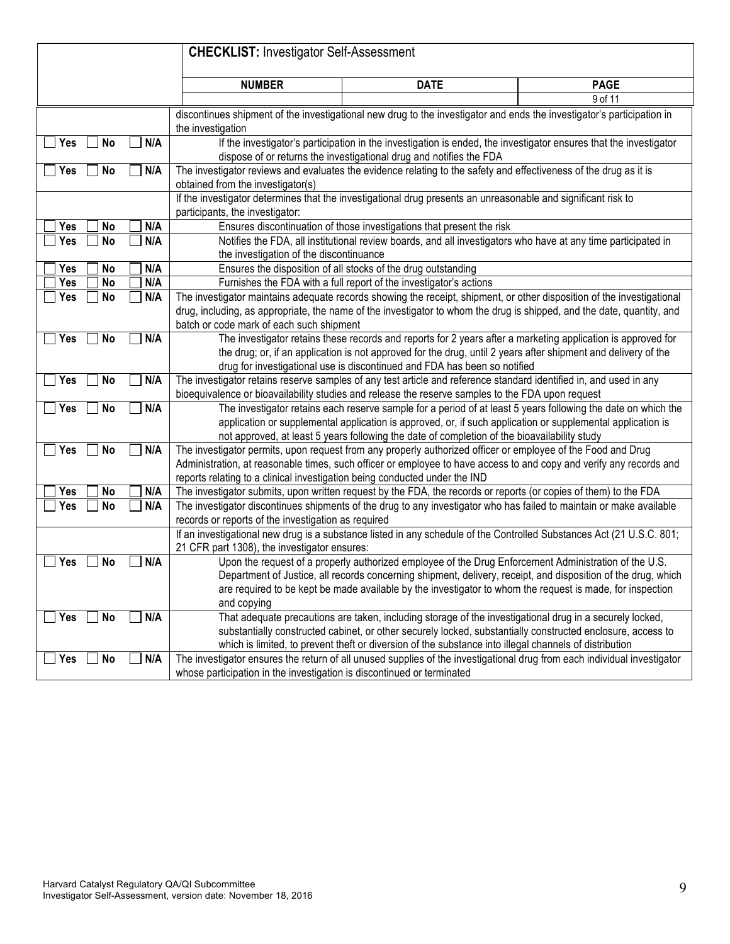|                         | <b>CHECKLIST: Investigator Self-Assessment</b>                                                                                                                                              |                                                                                                                          |             |  |  |  |
|-------------------------|---------------------------------------------------------------------------------------------------------------------------------------------------------------------------------------------|--------------------------------------------------------------------------------------------------------------------------|-------------|--|--|--|
|                         |                                                                                                                                                                                             |                                                                                                                          |             |  |  |  |
|                         | <b>NUMBER</b>                                                                                                                                                                               | <b>DATE</b>                                                                                                              | <b>PAGE</b> |  |  |  |
|                         |                                                                                                                                                                                             |                                                                                                                          | 9 of 11     |  |  |  |
|                         | discontinues shipment of the investigational new drug to the investigator and ends the investigator's participation in<br>the investigation                                                 |                                                                                                                          |             |  |  |  |
| N/A<br>Yes<br>No        | If the investigator's participation in the investigation is ended, the investigator ensures that the investigator                                                                           |                                                                                                                          |             |  |  |  |
|                         | dispose of or returns the investigational drug and notifies the FDA                                                                                                                         |                                                                                                                          |             |  |  |  |
| <b>No</b><br>N/A<br>Yes | The investigator reviews and evaluates the evidence relating to the safety and effectiveness of the drug as it is                                                                           |                                                                                                                          |             |  |  |  |
|                         | obtained from the investigator(s)                                                                                                                                                           |                                                                                                                          |             |  |  |  |
|                         | If the investigator determines that the investigational drug presents an unreasonable and significant risk to                                                                               |                                                                                                                          |             |  |  |  |
|                         | participants, the investigator:                                                                                                                                                             |                                                                                                                          |             |  |  |  |
| Yes<br>N/A<br>No        |                                                                                                                                                                                             | Ensures discontinuation of those investigations that present the risk                                                    |             |  |  |  |
| <b>No</b><br>N/A<br>Yes |                                                                                                                                                                                             | Notifies the FDA, all institutional review boards, and all investigators who have at any time participated in            |             |  |  |  |
|                         | the investigation of the discontinuance                                                                                                                                                     |                                                                                                                          |             |  |  |  |
| Yes<br><b>No</b><br>N/A |                                                                                                                                                                                             | Ensures the disposition of all stocks of the drug outstanding                                                            |             |  |  |  |
| Yes<br>N/A<br><b>No</b> |                                                                                                                                                                                             | Furnishes the FDA with a full report of the investigator's actions                                                       |             |  |  |  |
| Yes<br><b>No</b><br>N/A | The investigator maintains adequate records showing the receipt, shipment, or other disposition of the investigational                                                                      |                                                                                                                          |             |  |  |  |
|                         | drug, including, as appropriate, the name of the investigator to whom the drug is shipped, and the date, quantity, and                                                                      |                                                                                                                          |             |  |  |  |
|                         |                                                                                                                                                                                             | batch or code mark of each such shipment                                                                                 |             |  |  |  |
| Yes<br>N/A<br>No        | The investigator retains these records and reports for 2 years after a marketing application is approved for                                                                                |                                                                                                                          |             |  |  |  |
|                         | the drug; or, if an application is not approved for the drug, until 2 years after shipment and delivery of the<br>drug for investigational use is discontinued and FDA has been so notified |                                                                                                                          |             |  |  |  |
| Yes<br><b>No</b><br>N/A | The investigator retains reserve samples of any test article and reference standard identified in, and used in any                                                                          |                                                                                                                          |             |  |  |  |
|                         | bioequivalence or bioavailability studies and release the reserve samples to the FDA upon request                                                                                           |                                                                                                                          |             |  |  |  |
| Yes<br><b>No</b><br>N/A | The investigator retains each reserve sample for a period of at least 5 years following the date on which the                                                                               |                                                                                                                          |             |  |  |  |
|                         | application or supplemental application is approved, or, if such application or supplemental application is                                                                                 |                                                                                                                          |             |  |  |  |
|                         | not approved, at least 5 years following the date of completion of the bioavailability study                                                                                                |                                                                                                                          |             |  |  |  |
| Yes<br><b>No</b><br>N/A | The investigator permits, upon request from any properly authorized officer or employee of the Food and Drug                                                                                |                                                                                                                          |             |  |  |  |
|                         | Administration, at reasonable times, such officer or employee to have access to and copy and verify any records and                                                                         |                                                                                                                          |             |  |  |  |
|                         | reports relating to a clinical investigation being conducted under the IND                                                                                                                  |                                                                                                                          |             |  |  |  |
| Yes<br>N/A<br>No        | The investigator submits, upon written request by the FDA, the records or reports (or copies of them) to the FDA                                                                            |                                                                                                                          |             |  |  |  |
| <b>No</b><br>N/A<br>Yes |                                                                                                                                                                                             | The investigator discontinues shipments of the drug to any investigator who has failed to maintain or make available     |             |  |  |  |
|                         | records or reports of the investigation as required                                                                                                                                         |                                                                                                                          |             |  |  |  |
|                         | If an investigational new drug is a substance listed in any schedule of the Controlled Substances Act (21 U.S.C. 801;                                                                       |                                                                                                                          |             |  |  |  |
|                         | 21 CFR part 1308), the investigator ensures:                                                                                                                                                |                                                                                                                          |             |  |  |  |
| Yes<br>N/A<br>No        |                                                                                                                                                                                             | Upon the request of a properly authorized employee of the Drug Enforcement Administration of the U.S.                    |             |  |  |  |
|                         |                                                                                                                                                                                             | Department of Justice, all records concerning shipment, delivery, receipt, and disposition of the drug, which            |             |  |  |  |
|                         | are required to be kept be made available by the investigator to whom the request is made, for inspection                                                                                   |                                                                                                                          |             |  |  |  |
| N/A<br>No<br>Yes        | and copying<br>That adequate precautions are taken, including storage of the investigational drug in a securely locked,                                                                     |                                                                                                                          |             |  |  |  |
|                         |                                                                                                                                                                                             | substantially constructed cabinet, or other securely locked, substantially constructed enclosure, access to              |             |  |  |  |
|                         |                                                                                                                                                                                             | which is limited, to prevent theft or diversion of the substance into illegal channels of distribution                   |             |  |  |  |
| N/A<br>Yes<br>No        |                                                                                                                                                                                             | The investigator ensures the return of all unused supplies of the investigational drug from each individual investigator |             |  |  |  |
|                         | whose participation in the investigation is discontinued or terminated                                                                                                                      |                                                                                                                          |             |  |  |  |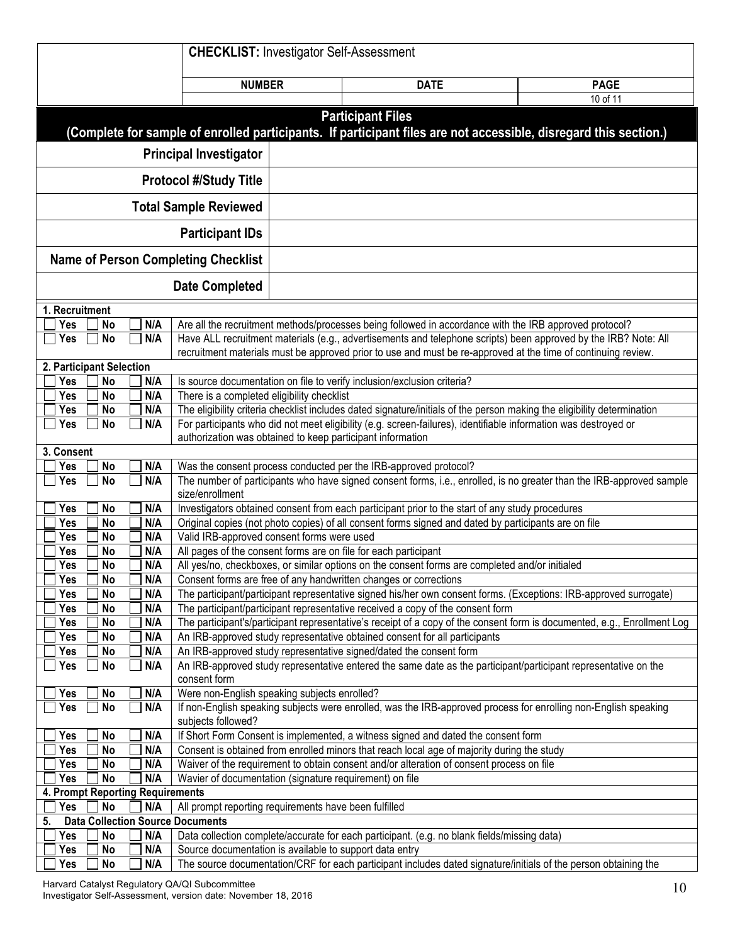|                                               | <b>CHECKLIST: Investigator Self-Assessment</b>                        |  |                                                                                             |                                                                                                                                                                                                                                  |  |
|-----------------------------------------------|-----------------------------------------------------------------------|--|---------------------------------------------------------------------------------------------|----------------------------------------------------------------------------------------------------------------------------------------------------------------------------------------------------------------------------------|--|
|                                               |                                                                       |  |                                                                                             |                                                                                                                                                                                                                                  |  |
|                                               | <b>NUMBER</b>                                                         |  | <b>DATE</b>                                                                                 | <b>PAGE</b>                                                                                                                                                                                                                      |  |
|                                               |                                                                       |  |                                                                                             | 10 of 11                                                                                                                                                                                                                         |  |
|                                               |                                                                       |  | <b>Participant Files</b>                                                                    | (Complete for sample of enrolled participants. If participant files are not accessible, disregard this section.)                                                                                                                 |  |
|                                               | <b>Principal Investigator</b>                                         |  |                                                                                             |                                                                                                                                                                                                                                  |  |
|                                               | <b>Protocol #/Study Title</b>                                         |  |                                                                                             |                                                                                                                                                                                                                                  |  |
|                                               | <b>Total Sample Reviewed</b>                                          |  |                                                                                             |                                                                                                                                                                                                                                  |  |
|                                               | <b>Participant IDs</b>                                                |  |                                                                                             |                                                                                                                                                                                                                                  |  |
| <b>Name of Person Completing Checklist</b>    |                                                                       |  |                                                                                             |                                                                                                                                                                                                                                  |  |
|                                               | <b>Date Completed</b>                                                 |  |                                                                                             |                                                                                                                                                                                                                                  |  |
| 1. Recruitment                                |                                                                       |  |                                                                                             |                                                                                                                                                                                                                                  |  |
| N/A<br>Yes<br>No                              |                                                                       |  |                                                                                             | Are all the recruitment methods/processes being followed in accordance with the IRB approved protocol?                                                                                                                           |  |
| <b>No</b><br>N/A<br>Yes                       |                                                                       |  |                                                                                             | Have ALL recruitment materials (e.g., advertisements and telephone scripts) been approved by the IRB? Note: All<br>recruitment materials must be approved prior to use and must be re-approved at the time of continuing review. |  |
| 2. Participant Selection                      |                                                                       |  |                                                                                             |                                                                                                                                                                                                                                  |  |
| Yes<br>No<br>N/A                              |                                                                       |  | Is source documentation on file to verify inclusion/exclusion criteria?                     |                                                                                                                                                                                                                                  |  |
| Yes<br>N/A<br>No                              | There is a completed eligibility checklist                            |  |                                                                                             |                                                                                                                                                                                                                                  |  |
| <b>Yes</b><br>N/A<br>No                       |                                                                       |  |                                                                                             | The eligibility criteria checklist includes dated signature/initials of the person making the eligibility determination                                                                                                          |  |
| N/A<br>Yes<br><b>No</b>                       |                                                                       |  |                                                                                             | For participants who did not meet eligibility (e.g. screen-failures), identifiable information was destroyed or                                                                                                                  |  |
|                                               | authorization was obtained to keep participant information            |  |                                                                                             |                                                                                                                                                                                                                                  |  |
| 3. Consent                                    |                                                                       |  |                                                                                             |                                                                                                                                                                                                                                  |  |
| Yes<br><b>No</b><br>N/A                       |                                                                       |  | Was the consent process conducted per the IRB-approved protocol?                            |                                                                                                                                                                                                                                  |  |
| Yes<br>N/A<br><b>No</b>                       | size/enrollment                                                       |  |                                                                                             | The number of participants who have signed consent forms, i.e., enrolled, is no greater than the IRB-approved sample                                                                                                             |  |
| N/A<br><b>Yes</b><br><b>No</b>                |                                                                       |  |                                                                                             | Investigators obtained consent from each participant prior to the start of any study procedures                                                                                                                                  |  |
| N/A<br><b>Yes</b><br>No                       |                                                                       |  |                                                                                             | Original copies (not photo copies) of all consent forms signed and dated by participants are on file                                                                                                                             |  |
| N/A<br><b>Yes</b><br>No                       | Valid IRB-approved consent forms were used                            |  |                                                                                             |                                                                                                                                                                                                                                  |  |
| N/A<br><b>Yes</b><br>No                       | All pages of the consent forms are on file for each participant       |  |                                                                                             |                                                                                                                                                                                                                                  |  |
| N/A<br><b>Yes</b><br><b>No</b>                |                                                                       |  |                                                                                             | All yes/no, checkboxes, or similar options on the consent forms are completed and/or initialed                                                                                                                                   |  |
| <b>No</b><br>N/A<br>Yes                       |                                                                       |  | Consent forms are free of any handwritten changes or corrections                            |                                                                                                                                                                                                                                  |  |
| N/A<br><b>Yes</b><br>No<br>N/A<br>Yes<br>No   |                                                                       |  | The participant/participant representative received a copy of the consent form              | The participant/participant representative signed his/her own consent forms. (Exceptions: IRB-approved surrogate)                                                                                                                |  |
| N/A<br>Yes<br>No                              |                                                                       |  |                                                                                             | The participant's/participant representative's receipt of a copy of the consent form is documented, e.g., Enrollment Log                                                                                                         |  |
| N/A<br>Yes<br>No                              |                                                                       |  | An IRB-approved study representative obtained consent for all participants                  |                                                                                                                                                                                                                                  |  |
| N/A<br>Yes<br>No                              |                                                                       |  | An IRB-approved study representative signed/dated the consent form                          |                                                                                                                                                                                                                                  |  |
| No<br>N/A<br>Yes                              | consent form                                                          |  |                                                                                             | An IRB-approved study representative entered the same date as the participant/participant representative on the                                                                                                                  |  |
| Yes<br>No<br>N/A                              | Were non-English speaking subjects enrolled?                          |  |                                                                                             |                                                                                                                                                                                                                                  |  |
| <b>Yes</b><br>No<br>N/A                       |                                                                       |  |                                                                                             | If non-English speaking subjects were enrolled, was the IRB-approved process for enrolling non-English speaking                                                                                                                  |  |
|                                               | subjects followed?                                                    |  |                                                                                             |                                                                                                                                                                                                                                  |  |
| Yes<br>No<br>N/A                              |                                                                       |  | If Short Form Consent is implemented, a witness signed and dated the consent form           |                                                                                                                                                                                                                                  |  |
| Yes<br>No<br>N/A                              |                                                                       |  | Consent is obtained from enrolled minors that reach local age of majority during the study  |                                                                                                                                                                                                                                  |  |
| Yes<br>No<br>N/A                              |                                                                       |  | Waiver of the requirement to obtain consent and/or alteration of consent process on file    |                                                                                                                                                                                                                                  |  |
| No<br>N/A                                     | <b>Yes</b><br>Wavier of documentation (signature requirement) on file |  |                                                                                             |                                                                                                                                                                                                                                  |  |
| 4. Prompt Reporting Requirements              |                                                                       |  |                                                                                             |                                                                                                                                                                                                                                  |  |
| Yes<br>No<br>N/A                              | All prompt reporting requirements have been fulfilled                 |  |                                                                                             |                                                                                                                                                                                                                                  |  |
| <b>Data Collection Source Documents</b><br>5. |                                                                       |  |                                                                                             |                                                                                                                                                                                                                                  |  |
| Yes<br>N/A<br>No<br>Yes<br>N/A<br>No          | Source documentation is available to support data entry               |  | Data collection complete/accurate for each participant. (e.g. no blank fields/missing data) |                                                                                                                                                                                                                                  |  |
| <b>Yes</b><br>No<br>N/A                       |                                                                       |  |                                                                                             | The source documentation/CRF for each participant includes dated signature/initials of the person obtaining the                                                                                                                  |  |